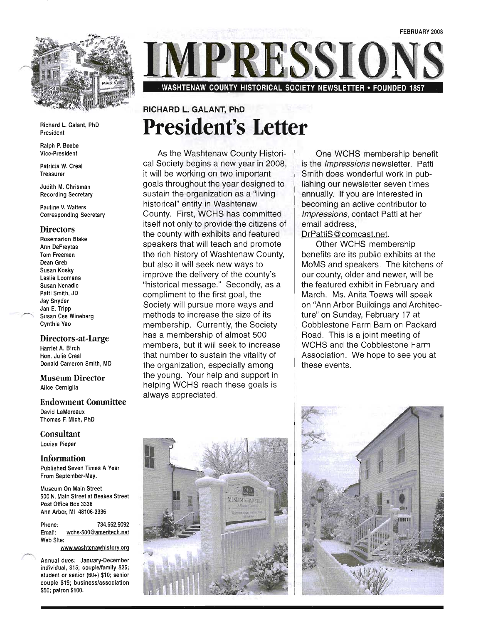

Richard L. Galant, PhD President

Ralph P. Beebe Vice-President

Patricia W. Creal Treasurer

Judith M. Chrisman Recording Secretary

Pauline V. Walters Corresponding Secretary

#### **Directors**

Rosemarion Blake Ann DeFreytas Tom Freeman Dean Greb Susan Kosky Leslie Loomans Susan Nenadic Patti Smith, JD Jay Snyder Jan E. Tripp Susan Cee Wineberg Cynthia Yao

#### **Directors-at-Large**

Harriet A. Birch Hon. Julie Creal Donald Cameron Smith, MD

**Museum Director**  Alice Cerniglia

**Endowment Committee**  David LaMoreaux Thomas F. Mich, PhD

**Consultant**  Louisa Pieper

**Information**  Published Seven Times A Year From September-May.

Museum On Main Street 500 N. Main Street at Beakes Street Post Office Box 3336 Ann Arbor, MI 48106-3336

Phone: 734.662.9092 Email: wchs-500@ameritech.net Web Site:

www.washtenawhistory.org

Annual dues: January-December individual, \$15; couple/family \$25; student or senior (60+) \$10; senior couple \$19; business/association \$50; patron \$100.

ESSI **WASHTENAW COUNTY HISTORICAL SOCIETY NEWSLETTER • FOUNDED 1857** 

## **RICHARD L. GALANT, PhD President's Letter**

As the Washtenaw County Historical Society begins a new year in 2008, it will be working on two important goals throughout the year designed to sustain the organization as a "living historical" entity in Washtenaw County. First, WCHS has committed itself not only to provide the citizens of the county with exhibits and featured speakers that will teach and promote the rich history of Washtenaw County, but also it will seek new ways to improve the delivery of the county's "historical message." Secondly, as a compliment to the first goal, the Society will pursue more ways and methods to increase the size of its membership. Currently, the Society has a membership of almost 500 members, but it will seek to increase that number to sustain the vitality of the organization, especially among the young. Your help and support in helping WCHS reach these goals is always appreciated.

One WCHS membership benefit is the *Impressions* newsletter. Patti Smith does wonderful work in publishing our newsletter seven times annually. If you are interested in becoming an active contributor to Impressions, contact Patti at her email address,

DrPattiS@comcast.net.

Other WCHS membership benefits are its public exhibits at the MoMS and speakers. The kitchens of our county, older and newer, will be the featured exhibit in February and March. Ms. Anita Toews will speak on "Ann Arbor Buildings and Architecture" on Sunday, February 17 at Cobblestone Farm Barn on Packard Road. This is a joint meeting of WCHS and the Cobblestone Farm Association. We hope to see you at these events.



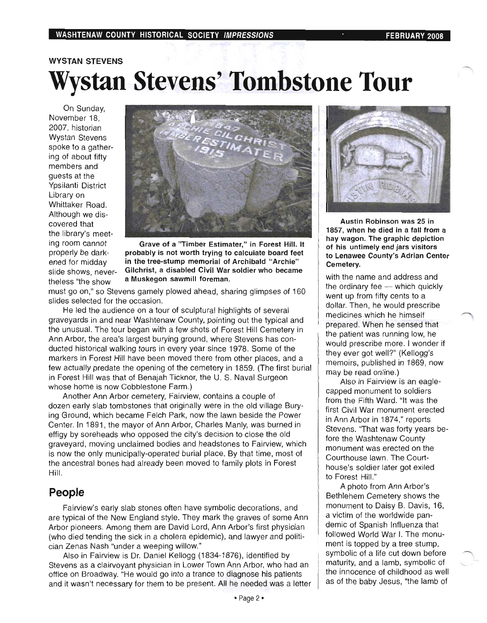## WYSTAN STEVENS Wystan Stevens' Tombstone Tour

On Sunday, On Sunday, November 18, 2007, historian **Wystan Stevens** spoke to a gathering of about fifty members and quests at the Ypsilanti District Library on Whittaker Road. Although we discovered that the library's meet-<br>ing room cannot



ing room cannot **Grave of a "Timber Estimater," in Forest Hill. It** properly be dark-<br>probably is not worth trying to calculate board feet properly be dark-<br>
ened for midday 
in the tree-stump memorial of Archibald "Archie" in the tree-stump memorial of Archibald "Archie" slide shows, never- Gilchrist, a disabled Civil War soldier who became the show a Muskegon sawmill foreman.

must go on," so share gamely planning glimpses of 1600 million planning glimpses of 1600 million and 1600 million and 1600 million and 1600 million and 1600 million and 1600 million and 1600 million and 1600 million and 16 ust go on," so Stevens gamely pl slides selected for the occasion.

He led the audience on a tour of sculptural highlights of several graveyards in and near Washtenaw County, pointing out the typical and the unusual. The tour began with a few shots of Forest Hill Cemetery in Ann Arbor, the area's largest burying ground, where Stevens has conducted historical walking tours in every year since 1978. Some of the markers in Forest Hill have been moved there from other places, and a few actually predate the opening of the cemetery in 1859. (The first burial in Forest Hill was that of Benajah Ticknor, the U. S. Naval Surgeon whose home is now Cobblestone Farm.)

Another Ann Arbor cemetery, Fairview, contains a couple of dozen early slab tombstones that originally were in the old village Burying Ground, which became Felch Park, now the lawn beside the Power Center. In 1891, the mayor of Ann Arbor, Charles Manly, was burned in effigy by soreheads who opposed the city's decision to close the old graveyard, moving unclaimed bodies and headstones to Fairview, which is now the only municipally-operated burial place. By that time, most of the ancestral bones had already been moved to family plots in Forest<br>Hill.

### People

Fairview's early slab stones often have symbolic decorations, and are typical of the New England style. They mark the graves of some Ann Arbor pioneers. Among them are David Lord, Ann Arbor's first physician (who died tending the sick in a cholera epidemic), and lawyer and politician Zenas Nash "under a weeping willow."

Also in Fairview is Dr. Daniel Kellogg (1834-1876), identified by Stevens as a clairvoyant physician in Lower Town Ann Arbor, who had an office on Broadway. "He would go into a trance to diagnose his patients and it wasn't necessary for them to be present. All he needed was a letter<br>• Page 2 •



Austin Robinson was 25 in 1857, when he died in a fall from a hay wagon. The graphic depiction of his untimely end jars visitors to Lenawee County's Adrian Center  $m_{\rm t}$  and  $n_{\rm t}$ 

with the name and address and the ordinary fee  $-$  which quickly went up from fifty cents to a dollar. Then, he would prescribe medicines which he himself prepared. When he sensed that the patient was running low, he would prescribe more. I wonder if they ever got well?" (Kellogg's memoirs, published in 1869, now may be read online.)

Also in Fairview is an eaglecapped monument to soldiers from the Fifth Ward. "It was the first Civil War monument erected in Ann Arbor in 1874," reports Stevens. "That was forty years before the Washtenaw County monument was erected on the Courthouse lawn. The Courthouse's soldier later got exiled to Forest Hill."

A photo from Ann Arbor's Bethlehem Cemetery shows the monument to Daisy B. Davis, 16, a victim of the worldwide pandemic of Spanish Influenza that followed World War I. The monument is topped by a tree stump. symbolic of a life cut down before maturity, and a lamb, symbolic of the innocence of childhood as well as of the baby Jesus, "the lamb of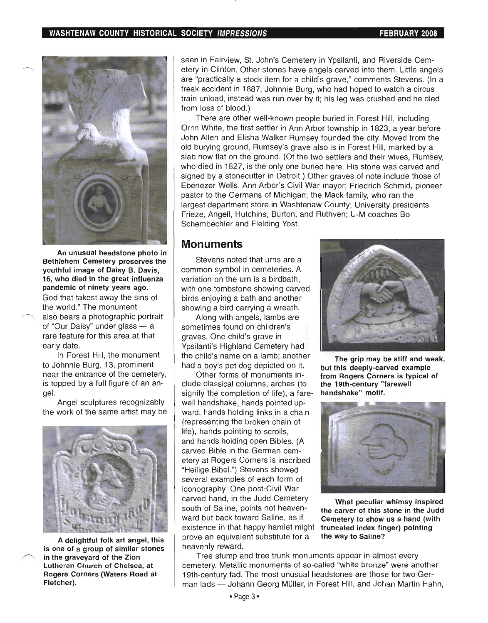

An unusual headstone photo in Bethlehem Cemetery preserves the youthful image of Daisy B. Davis, 16, who died in the great influenza pandemic of ninety years ago. God that takest away the sins of the world." The monument also bears a photographic portrait of "Our Daisy" under glass - a rare feature for this area at that early date.

In Forest Hill, the monument to Johnnie Burg, 13, prominent near the entrance of the cemetery, is topped by a full figure of an angel.

Angel sculptures recognizably the work of the same artist may be



A delightful folk art angel, this is one of a group of similar stones in the graveyard of the Zion Lutheran Church of Chelsea, at Rogers Corners (Waters Road at Fletcher).

seen in Fairview, St. John's Cemetery in Ypsilanti, and Riverside Cemetery in Clinton. Other stones have angels carved into them. Little angels are "practically a stock item for a child's grave," comments Stevens. (In a freak accident in 1887, Johnnie Burg, who had hoped to watch a circus train unload, instead was run over by it; his leg was crushed and he died from loss of blood.)

There are other well-known people buried in Forest Hill, including Orrin White, the first settler in Ann Arbor township in 1823, a year before John Allen and Elisha Walker Rumsey founded the city. Moved from the old burying ground, Rumsey's grave also is in Forest Hill, marked by a slab now flat on the ground. (Of the two settlers and their wives, Rumsey, who died in 1827, is the only one buried here. His stone was carved and signed by a stonecutter in Detroit.) Other graves of note include those of Ebenezer Wells, Ann Arbor's Civil War mayor; Friedrich Schmid, pioneer pastor to the Germans of Michigan; the Mack family, who ran the largest department store in Washtenaw County; University presidents Frieze, Angell, Hutchins, Burton, and Ruthven; U-M coaches Bo Schembechler and Fielding Yost.

#### **Monuments**

Stevens noted that urns are a common symbol in cemeteries. A variation on the urn is a birdbath, with one tombstone showing carved birds enjoying a bath and another showing a bird carrying a wreath.

Along with angels, lambs are sometimes found on children's graves. One child's grave in Ypsilanti's Highland Cemetery had the child's name on a lamb; another had a boy's pet dog depicted on it.

Other forms of monuments include classical columns, arches (to signify the completion of life), a farewell handshake, hands pointed upward, hands holding links in a chain (representing the broken chain of life), hands pointing to scrolls, and hands holding open Bibles. (A carved Bible in the German cemetery at Rogers Corners is inscribed "Heilige Bibel.") Stevens showed several examples of each form of iconography. One post-Civil War carved hand, in the Judd Cemetery south of Saline, points not heavenward but back toward Saline, as if existence in that happy hamlet might prove an equivalent substitute for a heavenly reward.



The grip may be stiff and weak, but this deeply-carved example from Rogers Corners is typical of the 19th-century "farewell handshake" motif.



What peculiar whimsy inspired the carver of this stone in the Judd Cemetery to show us a hand (with truncated index finger) pointing the way to Saline?

Tree stump and tree trunk monuments appear in almost every cemetery. Metallic monuments of so-called "white bronze" were another 19th-century fad. The most unusual headstones are those for two German lads - Johann Georg Müller, in Forest Hill, and Johan Martin Hahn,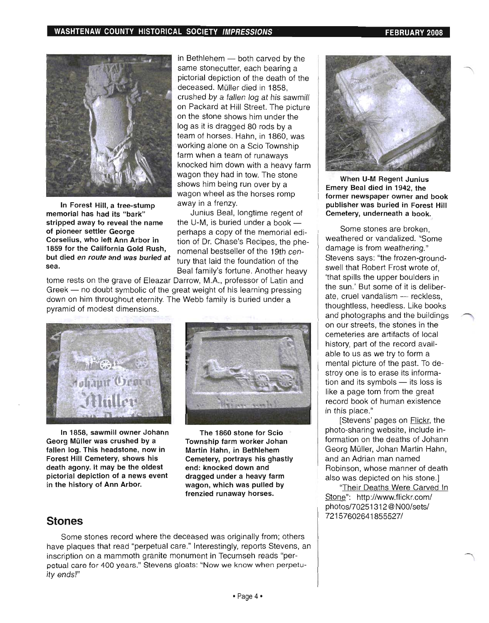

In Forest Hill, a tree-stump memorial has had its "bark" stripped away to reveal the name of pioneer settler George Corselius, who left Ann Arbor in 1859 for the California Gold Rush, but died *en route* and was buried at sea.

in Bethlehem  $-$  both carved by the same stonecutter, each bearing a pictorial depiction of the death of the deceased. Müller died in 1858. crushed by a fallen log at his sawmill on Packard at Hill Street. The picture on the stone shows him under the log as it is dragged 80 rods by a team of horses. Hahn, in 1860, was working alone on a Scio Township farm when a team of runaways knocked him down with a heavy farm wagon they had in tow. The stone shows him being run over by a wagon wheel as the horses romp away in a frenzy.

Junius Beal, longtime regent of the U-M, is buried under a book  $$ perhaps a copy of the memorial edition of Dr. Chase's Recipes, the phenomenal bestseller of the 19th century that laid the foundation of the Beal family's fortune. Another heavy

tome rests on the grave of Eleazar Darrow, M.A., professor of Latin and Greek - no doubt symbolic of the great weight of his learning pressing down on him throughout eternity. The Webb family is buried under a pyramid of modest dimensions.



In 1858, sawmill owner Johann Georg Müller was crushed by a fallen log. This headstone, now in Forest Hill Cemetery, shows his death agony. It may be the oldest pictorial depiction of a news event in the history of Ann Arbor.



The 1860 stone for Scio Township farm worker Johan Martin Hahn, in Bethlehem Cemetery, portrays his ghastly . end: knocked down and dragged under a heavy farm wagon, which was pulled by frenzied runaway horses.

### **Stones**

Some stones record where the deceased was originally from; others have plaques that read "perpetual care." Interestingly, reports Stevens, an inscription on a mammoth granite monument in Tecumseh reads "perpetual care for 400 years." Stevens gloats: "Now we know when perpetuity ends!"



When U-M Regent Junius Emery Beal died in 1942, the former newspaper owner and book publisher was buried in Forest Hill Cemetery, underneath a book.

Some stones are broken, weathered or vandalized. "Some damage is from weathering." Stevens says: "the frozen-groundswell that Robert Frost wrote of, 'that spills the upper boulders in the sun.' But some of it is deliberate, cruel vandalism - reckless, thoughtless, heedless. Like books and photographs and the buildings on our streets, the stones in the cemeteries are artifacts of local history, part of the record available to us as we try to form a mental picture of the past. To destroy one is to erase its information and its symbols  $-$  its loss is like a page torn from the great record book of human existence in this place."

[Stevens' pages on **Flickr**, the photo-sharing website, include information on the deaths of Johann Georg Muller, Johan Martin Hahn, and an Adrian man named Robinson, whose manner of death also was depicted on his stone.]

"Their Deaths Were Carved In Stone": http://www.flickr.com/ photos/70251 312 @ NOO/sets/ 72157602641855527/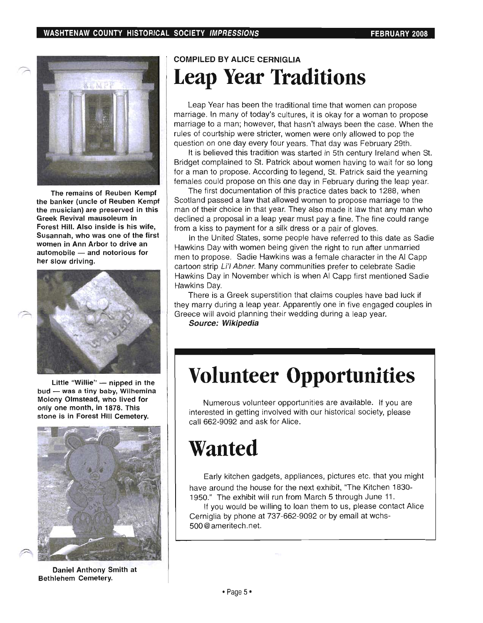

The remains of Reuben Kempf the banker (uncle of Reuben Kempf the musician) are preserved in this Greek Revival mausoleum in Forest Hill. Also inside is his wife, Susannah, who was one of the first women in Ann Arbor to drive an  $automobile$   $-$  and notorious for her slow driving.



Little "Willie"  $-$  nipped in the bud - was a tiny baby, Wilhemina Molony Olmstead, who lived for only one month, in 1878. This stone is in Forest Hill Cemetery.



**Daniel Anthony Smit Bethlehem Cemetery.** 

# **Leap Year Traditions**

Leap Year has been the traditional time that women can propose marriage. In many of today's cultures, it is okay for a woman to propose. marriage to a man; however, that hasn't always been the case. When the rules of courtship were stricter, women were only allowed to pop the question on one day every four years. That day was February 29th.

It is believed this tradition was started in 5th century Ireland when St. Bridget complained to St. Patrick about women having to wait for so long for a man to propose. According to legend, St. Patrick said the yearning females could propose on this one day in February during the leap year.

The first documentation of this practice dates back to 1288, when Scotland passed a law that allowed women to propose marriage to the man of their choice in that year. They also made it law that any man who declined a proposal in a leap year must pay a fine. The fine could range from a kiss to payment for a silk dress or a pair of gloves.

In the United States, some people have referred to this date as Sadie Hawkins Day with women being given the right to run after unmarried men to propose. Sadie Hawkins was a female character in the Al Capp cartoon strip Li'l Abner. Many communities prefer to celebrate Sadie Hawkins Day in November which is when Al Capp first mentioned Sadie<br>Hawkins Dav.  $T$ here is a Greek superstition that couples have bad luck if  $\alpha$  luck if  $\alpha$  luck if  $\alpha$ 

There is a Greek superstition that claims couples have bad luck if they marry during a leap year. Apparently one in five engaged couples in Greece will avoid planning their wedding during a leap year.<br>
Source: Wikipedia

## **Volunteer Opportunities**

Numerous volunteer opportunities are available. It you are interested in getting involved with our historical society, please call 662-9092 and ask for Alice.

## **Wanted**

 $\mathbb{E}_{\mathcal{A}}$  is the gadgets, application gadgets, pictures etc. that you might you might you might you might Early kitchen gadgets, appliances, pictures etc. that you might have around the house for the next exhibit, "The Kitchen 1830-1950." The exhibit will run from March 5 through June 11.

If you would be willing to loan them to us, please contact Alice Cerniglia by phone at 737-662-9092 or by email at wchs-<br>500@ameritech.net.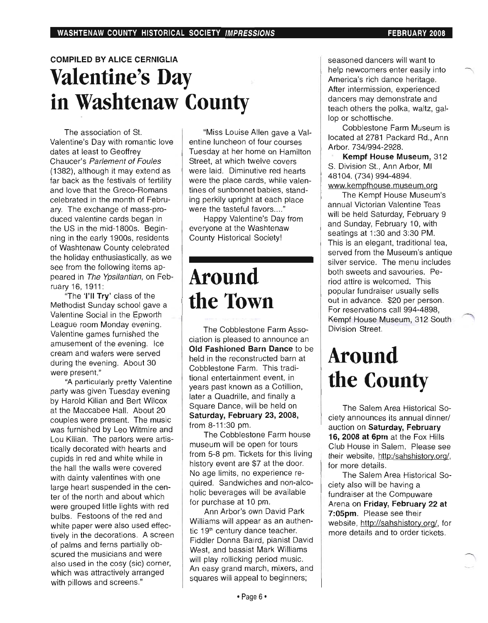## COMPILED BY ALICE CERNIGLIA **Valentine's Day in Washtenaw County**

The association of St. Valentine's Day with romantic love dates at least to Geoffrey Chaucer's Parlement of Foules (1382), although it may extend as far back as the festivals of fertility and love that the Greco-Romans celebrated in the month of February. The exchange of mass-produced valentine cards began in the US in the mid-1800s. Beginning in the early 1900s, residents of Washtenaw County celebrated the holiday enthusiastically, as we see from the following items appeared in The Ypsilantian, on February 16,1911:

"The 'I'll Try' class of the Methodist Sunday school gave a Valentine Social in the Epworth League room Monday evening. Valentine games furnished the amusement of the evening. Ice cream and wafers were served during the evening. About 30 were present."

"A particularly pretty Valentine party was given Tuesday evening by Harold Kilian and Bert Wilcox at the Maccabee Hall. About 20 couples were present. The music was furnished by Leo Witmire and Lou Kilian. The parlors were artistically decorated with hearts and cupids in red and white while in the hall the walls were covered with dainty valentines with one large heart suspended in the center of the north and about which were grouped little lights with red bulbs. Festoons of the red and white paper were also used effectively in the decorations. A screen of palms and ferns partially ob- 'scured the musicians and were also used in the cosy (sic) corner, which was attractively arranged with pillows and screens."

"Miss Louise Allen gave a Valentine luncheon of four courses Tuesday at her home on Hamilton Street, at which twelve covers were laid. Diminutive red hearts were the place cards, while valentines of sunbonnet babies, standing perkily upright at each place were the tasteful favors...."

Happy Valentine's Day from everyone at the Washtenaw County Historical Society!

## **Around the Town**

The Cobblestone Farm Association is pleased to announce an Old Fashioned Barn Dance to be held in the reconstructed barn at Cobblestone Farm. This traditional entertainment event, in years past known as a Cotillion, later a Quadrille, and finally a Square Dance, will be held on Saturday, February 23, 2008, from 8-11 :30 pm.

The Cobblestone Farm house museum will be open for tours from 5-8 pm. Tickets for this living history event are \$7 at the door. No age limits, no experience required. Sandwiches and non-alcoholic beverages will be available for purchase at 10 pm.

Ann Arbor's own David Park Williams will appear as an authentic 19<sup>th</sup> century dance teacher. Fiddler Donna Baird, pianist David West, and bassist Mark Williams will play rollicking period music. An easy grand march, mixers, and squares will appeal to beginners;

seasoned dancers will want to help newcomers enter easily into America's rich dance heritage. After intermission, experienced dancers may demonstrate and teach others the polka, waltz, gallop or schottische.

Cobblestone Farm Museum is located at 2781 Packard Rd., Ann Arbor. 734/994-2928.

Kempf House Museum, 312 S. Division St., Ann Arbor, MI 48104. (734) 994-4894. www.kempfhouse.museum.org

The Kempf House Museum's annual Victorian Valentine Teas will be held Saturday, February 9 and Sunday, February 10, with seatings at 1:30 and 3:30 PM. This is an elegant, traditional tea, served from the Museum's antique silver service. The menu includes both sweets and savouries. Period attire is welcomed. This popular fundraiser usually sells out in advance. \$20 per person. For reservations call 994-4898, Kempf House Museum, 312 South Division Street.

## **Around the County**

The Salem Area Historical Society announces its annual dinner/ auction on Saturday, February 16, 2008 at 6pm at the Fox Hills Club House in Salem. Please see their website, http:/sahshistory.org/, for more details.

The Salem Area Historical Society also will be having a fundraiser at the Compuware Arena on Friday, February 22 at 7:05pm. Please see their website, http://sahshistory.org/, for more details and to order tickets.